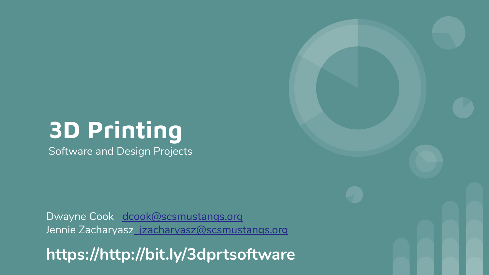### **3D Printing**

Software and Design Projects

Dwayne Cook [dcook@scsmustangs.org](mailto:dcook@scsmustangs.org) Jennie Zacharyas[z jzacharyasz@scsmustangs.org](mailto:jzacharyasz@scsmustangs.org)

**https://http://bit.ly/3dprtsoftware**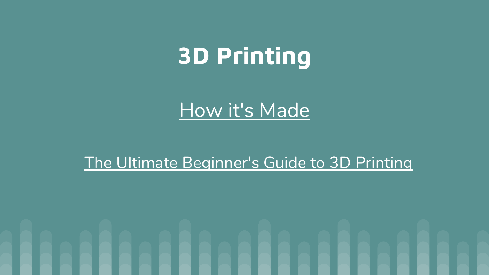## **3D Printing**

#### [How it's Made](https://www.youtube.com/watch?v=f4RGU2jXQiE)

#### [The Ultimate Beginner's Guide to 3D Printing](https://www.youtube.com/watch?v=f4RGU2jXQiE)

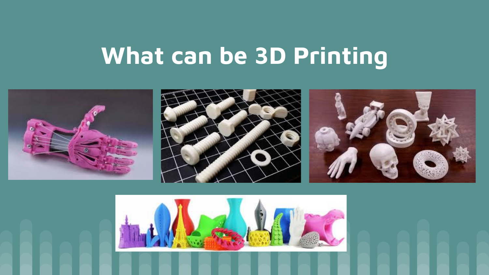# **What can be 3D Printing**



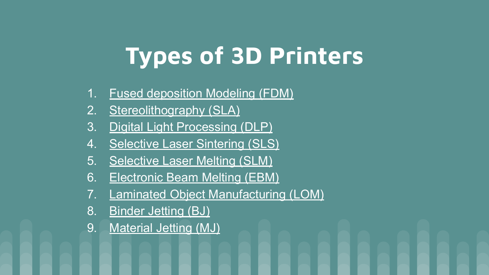# **Types of 3D Printers**

- 1. [Fused deposition Modeling \(FDM\)](http://3dinsider.com/3d-printer-types/#fdm)
- 2. [Stereolithography \(SLA\)](http://3dinsider.com/3d-printer-types/#sla)
- 3. [Digital Light Processing \(DLP\)](http://3dinsider.com/3d-printer-types/#dlp)
- 4. [Selective Laser Sintering \(SLS\)](http://3dinsider.com/3d-printer-types/#sls)
- 5. [Selective Laser Melting \(SLM\)](http://3dinsider.com/3d-printer-types/#slm)
- 6. [Electronic Beam Melting \(EBM\)](http://3dinsider.com/3d-printer-types/#ebm)
- 7. [Laminated Object Manufacturing \(LOM\)](http://3dinsider.com/3d-printer-types/#lom)
- 8. [Binder Jetting \(BJ\)](http://3dinsider.com/3d-printer-types/#bj)
- 9. [Material Jetting \(MJ\)](http://3dinsider.com/3d-printer-types/#mj)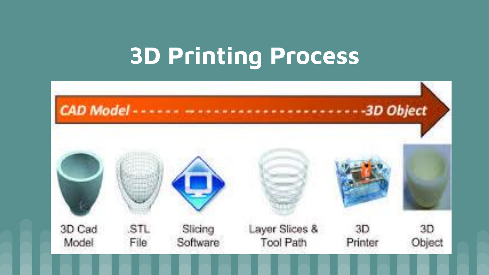### **3D Printing Process**

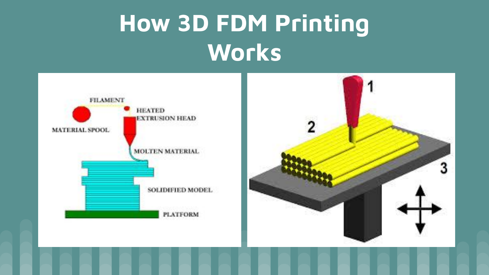# **How 3D FDM Printing Works**



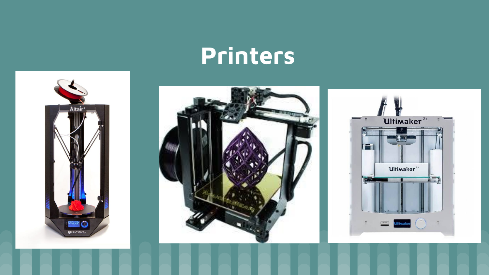### **Printers**





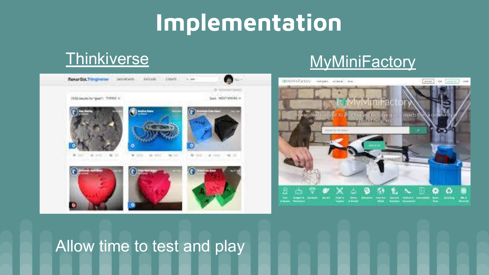### **Implementation**



#### [Thinkiverse](https://www.thingiverse.com/) [MyMiniFactory](https://www.myminifactory.com/)



#### Allow time to test and play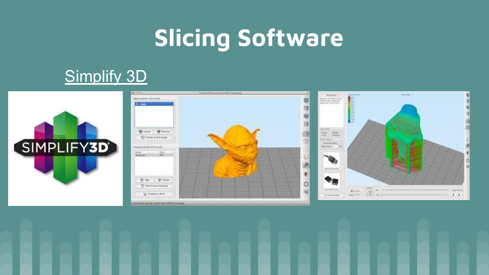# **Slicing Software**

#### [Simplify 3D](https://www.simplify3d.com/)





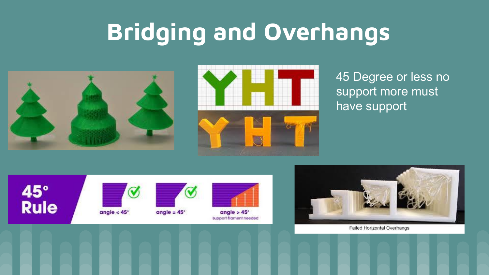# **Bridging and Overhangs**





45 Degree or less no support more must have support



 $\bm{\mathcal{U}}$ 

angle  $<$  45 $^{\circ}$ 



 $angle = 45^\circ$ 



 $angle > 45^\circ$ support flament needed



Failed Horizontal Overhangs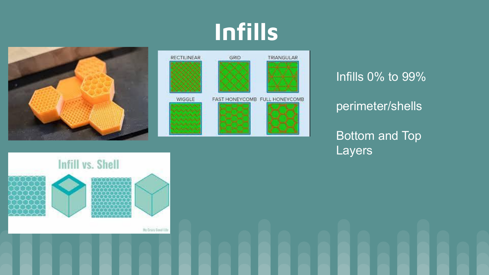### **Infills**





Infills 0% to 99%

#### perimeter/shells

Bottom and Top Layers

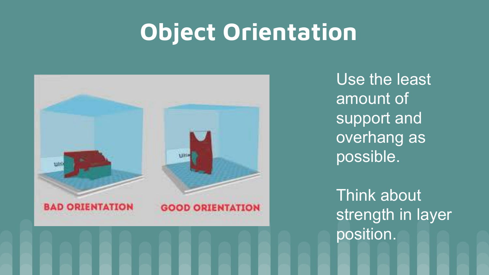### **Object Orientation**



Use the least amount of support and overhang as possible.

Think about strength in layer position.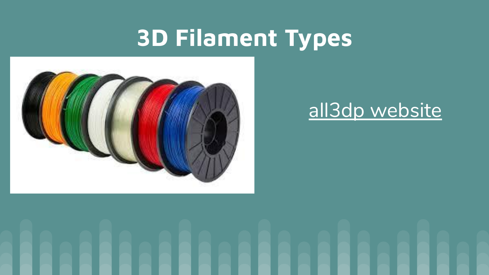### **3D Filament Types**



#### [all3dp website](https://www.youtube.com/watch?v=f4RGU2jXQiE)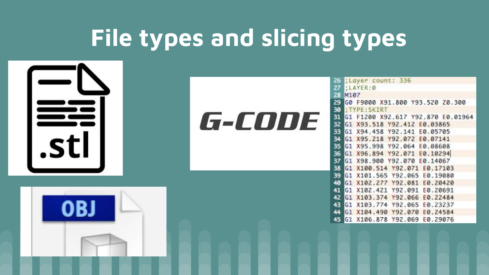# **File types and slicing types**

.stl

G-CODE

| 26. | :Layer count: 336                  |
|-----|------------------------------------|
|     | 27 : LAYER:0                       |
|     | 28 M107                            |
|     | 29 G0 F9000 X91.800 Y93.520 Z0.300 |
| 30  | :TYPE:SKIRT                        |
| 31  | G1 F1200 X92.617 Y92.870 E0.01964  |
| 32  | G1 X93.518 Y92.412 E0.03865        |
|     | 33 G1 X94.458 Y92.141 E0.05705     |
|     | 34 G1 X95.218 Y92.072 E0.07141     |
|     | 35 G1 X95.998 Y92.064 E0.08608     |
|     | 36 G1 X96.894 Y92.071 E0.10294     |
|     | 37 G1 X98.900 Y92.070 E0.14067     |
|     | 38 G1 X100.514 Y92.071 E0.17103    |
|     | 39 G1 X101.565 Y92.065 E0.19080    |
|     | 48 G1 X102.277 Y92.081 E0.20420    |
|     | 41 G1 X102.421 Y92.091 E0.20691    |
|     | 42 G1 X103.374 Y92.066 E0.22484    |
|     | 43 G1 X103.774 Y92.065 E0.23237    |
| 44  | G1 X104.490 Y92.070 E0.24584       |
| 45  | G1 X106.878 Y9Z.069 E0.29076       |
|     |                                    |

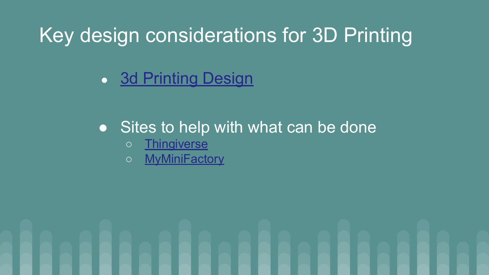#### Key design considerations for 3D Printing

• [3d Printing Design](https://www.3dhubs.com/knowledge-base/key-design-considerations-3d-printing)

#### ● Sites to help with what can be done

- [Thingiverse](https://www.thingiverse.com/)
- [MyMiniFactory](https://www.myminifactory.com/)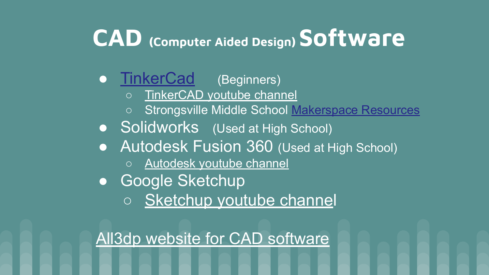### **CAD (Computer Aided Design) Software**

#### **• [TinkerCad](https://www.tinkercad.com/dashboard)** (Beginners)

- [TinkerCAD youtube channel](https://www.youtube.com/user/Tinkercad?disable_polymer=true)
- Strongsville Middle School [Makerspace Resources](https://strongsville.learning.powerschool.com/jbattle/strongsvillemiddleschoolmediacenter/cms_page/view/43654684)
- **Solidworks** (Used at High School)
- **Autodesk Fusion 360 (Used at High School)** 
	- [Autodesk youtube channel](https://www.youtube.com/user/AutodeskFusion360?disable_polymer=true)
- Google Sketchup
	- o [Sketchup youtube channel](https://www.youtube.com/user/SketchUpVideo?disable_polymer=true)

[All3dp website for CAD software](https://all3dp.com/1/best-free-cad-software-2d-3d-cad-programs-design/#sketchup)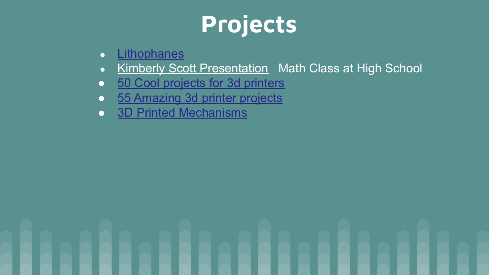# **Projects**

- **•** [Lithophanes](https://docs.google.com/document/d/117V6Qrw9VN-Wvxh15pUjSheuusuDoudjqknqZQJzKoc/edit)
- [Kimberly Scott Presentation](https://docs.google.com/presentation/d/1srL_2Ax3tvIU9SqqyIMnBAf2fwMBeWck5TSgMInvSEs/edit#slide=id.p4) Math Class at High School
- [50 Cool projects for 3d printers](https://all3dp.com/1/useful-cool-things-3d-print-ideas-3d-printer-projects-stuff/)
- [55 Amazing 3d printer projects](https://www.allthat3d.com/3d-printing-make/)
- **BED Printed Mechanisms**